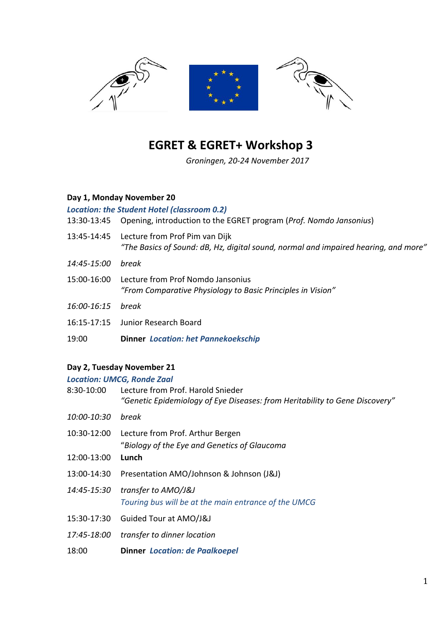

# **EGRET & EGRET+ Workshop 3**

*Groningen, 20-24 November 2017*

### **Day 1, Monday November 20**

#### *Location: the Student Hotel (classroom 0.2)*

- 13:30-13:45 Opening, introduction to the EGRET program (*Prof. Nomdo Jansonius*)
- 13:45-14:45 Lecture from Prof Pim van Dijk *"The Basics of Sound: dB, Hz, digital sound, normal and impaired hearing, and more"*
- *14:45-15:00 break*
- 15:00-16:00 Lecture from Prof Nomdo Jansonius *"From Comparative Physiology to Basic Principles in Vision"*
- *16:00-16:15 break*
- 16:15-17:15 Junior Research Board
- 19:00 **Dinner**  *Location: het Pannekoekschip*

## **Day 2, Tuesday November 21**

|             | <b>Location: UMCG, Ronde Zaal</b>                                                                                |
|-------------|------------------------------------------------------------------------------------------------------------------|
| 8:30-10:00  | Lecture from Prof. Harold Snieder<br>"Genetic Epidemiology of Eye Diseases: from Heritability to Gene Discovery" |
| 10:00-10:30 | break                                                                                                            |
| 12:00-13:00 | 10:30-12:00 Lecture from Prof. Arthur Bergen<br>"Biology of the Eye and Genetics of Glaucoma<br>Lunch            |
| 13:00-14:30 | Presentation AMO/Johnson & Johnson (J&J)                                                                         |
| 14:45-15:30 | transfer to AMO/J&J<br>Touring bus will be at the main entrance of the UMCG                                      |
| 15:30-17:30 | Guided Tour at AMO/J&J                                                                                           |
| 17:45-18:00 | transfer to dinner location                                                                                      |
| 18:00       | <b>Dinner Location: de Paalkoepel</b>                                                                            |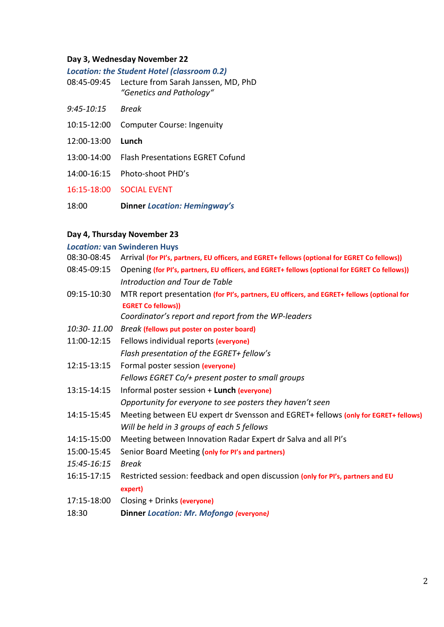#### **Day 3, Wednesday November 22**

*Location: the Student Hotel (classroom 0.2)*

- 08:45-09:45 Lecture from Sarah Janssen, MD, PhD *"Genetics and Pathology"*
- *9:45-10:15 Break*
- 10:15-12:00 Computer Course: Ingenuity
- 12:00-13:00 **Lunch**
- 13:00-14:00 Flash Presentations EGRET Cofund
- 14:00-16:15 Photo-shoot PHD's

16:15-18:00 SOCIAL EVENT

18:00 **Dinner** *Location: Hemingway's*

# **Day 4, Thursday November 23**

*Location:* **van Swinderen Huys**

| 08:30-08:45 | Arrival (for PI's, partners, EU officers, and EGRET+ fellows (optional for EGRET Co fellows))                           |
|-------------|-------------------------------------------------------------------------------------------------------------------------|
| 08:45-09:15 | Opening (for PI's, partners, EU officers, and EGRET+ fellows (optional for EGRET Co fellows))                           |
|             | Introduction and Tour de Table                                                                                          |
| 09:15-10:30 | MTR report presentation (for PI's, partners, EU officers, and EGRET+ fellows (optional for<br><b>EGRET Co fellows))</b> |
|             | Coordinator's report and report from the WP-leaders                                                                     |
| 10:30-11.00 | <b>Break (fellows put poster on poster board)</b>                                                                       |
| 11:00-12:15 | Fellows individual reports (everyone)                                                                                   |
|             | Flash presentation of the EGRET+ fellow's                                                                               |
| 12:15-13:15 | Formal poster session (everyone)                                                                                        |
|             | Fellows EGRET Co/+ present poster to small groups                                                                       |
| 13:15-14:15 | Informal poster session + Lunch (everyone)                                                                              |
|             | Opportunity for everyone to see posters they haven't seen                                                               |
| 14:15-15:45 | Meeting between EU expert dr Svensson and EGRET+ fellows (only for EGRET+ fellows)                                      |
|             | Will be held in 3 groups of each 5 fellows                                                                              |
| 14:15-15:00 | Meeting between Innovation Radar Expert dr Salva and all PI's                                                           |
| 15:00-15:45 | Senior Board Meeting (only for PI's and partners)                                                                       |
| 15:45-16:15 | <b>Break</b>                                                                                                            |
| 16:15-17:15 | Restricted session: feedback and open discussion (only for PI's, partners and EU                                        |
|             | expert)                                                                                                                 |
| 17:15-18:00 | Closing + Drinks (everyone)                                                                                             |
| 18:30       | <b>Dinner Location: Mr. Mofongo (everyone)</b>                                                                          |